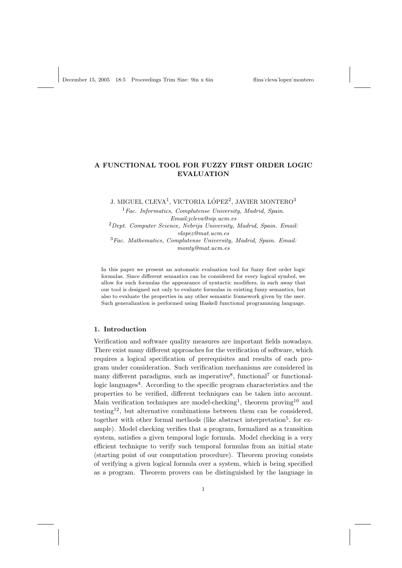# A FUNCTIONAL TOOL FOR FUZZY FIRST ORDER LOGIC EVALUATION

J. MIGUEL CLEVA $^1$ , VICTORIA LÓPEZ $^2$ , JAVIER MONTERO $^3$ 

 ${}^{1}Fac.$  Informatics, Complutense University, Madrid, Spain. Email:jcleva@sip.ucm.es  $2$ Dept. Computer Science, Nebrija University, Madrid, Spain. Email: vlopez@mat.ucm.es  $3Fac. Mathematics, Complutense University, Madrid, Spain. Email:$ monty@mat.ucm.es

In this paper we present an automatic evaluation tool for fuzzy first order logic formulas. Since different semantics can be considered for every logical symbol, we allow for such formulas the appearance of syntactic modifiers, in such away that our tool is designed not only to evaluate formulas in existing fuzzy semantics, but also to evaluate the properties in any other semantic framework given by the user. Such generalization is performed using Haskell functional programming language.

# 1. Introduction

Verification and software quality measures are important fields nowadays. There exist many different approaches for the verification of software, which requires a logical specification of prerequisites and results of each program under consideration. Such verification mechanisms are considered in many different paradigms, such as imperative<sup>8</sup>, functional<sup>7</sup> or functionallogic languages<sup>4</sup>. According to the specific program characteristics and the properties to be verified, different techniques can be taken into account. Main verification techniques are model-checking<sup>1</sup>, theorem proving<sup>10</sup> and testing<sup>12</sup>, but alternative combinations between them can be considered. together with other formal methods (like abstract interpretation<sup>5</sup>, for example). Model checking verifies that a program, formalized as a transition system, satisfies a given temporal logic formula. Model checking is a very efficient technique to verify such temporal formulas from an initial state (starting point of our computation procedure). Theorem proving consists of verifying a given logical formula over a system, which is being specified as a program. Theorem provers can be distinguished by the language in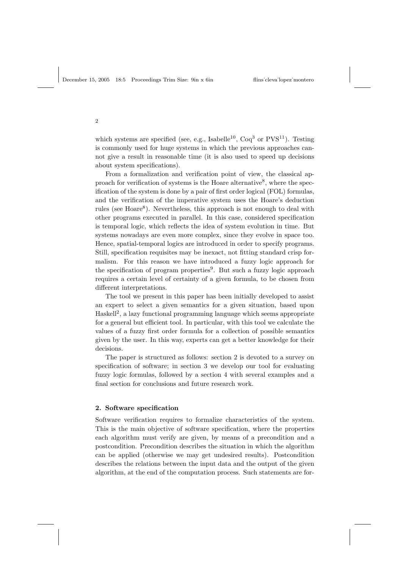which systems are specified (see, e.g., Isabelle<sup>10</sup>,  $Coq<sup>3</sup>$  or  $PVS<sup>11</sup>$ ). Testing is commonly used for huge systems in which the previous approaches cannot give a result in reasonable time (it is also used to speed up decisions about system specifications).

From a formalization and verification point of view, the classical approach for verification of systems is the Hoare alternative<sup>8</sup>, where the specification of the system is done by a pair of first order logical (FOL) formulas, and the verification of the imperative system uses the Hoare's deduction rules (see Hoare<sup>8</sup>). Nevertheless, this approach is not enough to deal with other programs executed in parallel. In this case, considered specification is temporal logic, which reflects the idea of system evolution in time. But systems nowadays are even more complex, since they evolve in space too. Hence, spatial-temporal logics are introduced in order to specify programs. Still, specification requisites may be inexact, not fitting standard crisp formalism. For this reason we have introduced a fuzzy logic approach for the specification of program properties<sup>9</sup>. But such a fuzzy logic approach requires a certain level of certainty of a given formula, to be chosen from different interpretations.

The tool we present in this paper has been initially developed to assist an expert to select a given semantics for a given situation, based upon Haskell<sup>2</sup>, a lazy functional programming language which seems appropriate for a general but efficient tool. In particular, with this tool we calculate the values of a fuzzy first order formula for a collection of possible semantics given by the user. In this way, experts can get a better knowledge for their decisions.

The paper is structured as follows: section 2 is devoted to a survey on specification of software; in section 3 we develop our tool for evaluating fuzzy logic formulas, followed by a section 4 with several examples and a final section for conclusions and future research work.

# 2. Software specification

Software verification requires to formalize characteristics of the system. This is the main objective of software specification, where the properties each algorithm must verify are given, by means of a precondition and a postcondition. Precondition describes the situation in which the algorithm can be applied (otherwise we may get undesired results). Postcondition describes the relations between the input data and the output of the given algorithm, at the end of the computation process. Such statements are for-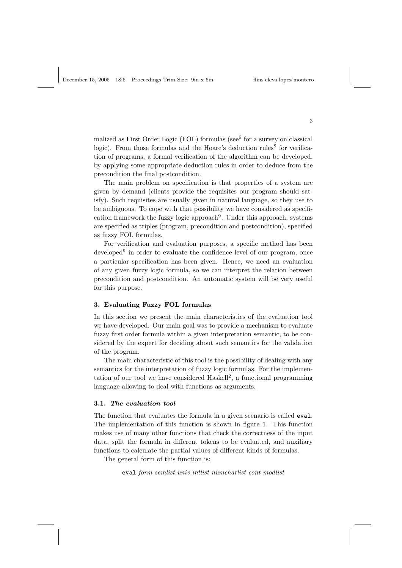malized as First Order Logic (FOL) formulas ( $\sec^6$  for a survey on classical logic). From those formulas and the Hoare's deduction rules<sup>8</sup> for verification of programs, a formal verification of the algorithm can be developed, by applying some appropriate deduction rules in order to deduce from the precondition the final postcondition.

The main problem on specification is that properties of a system are given by demand (clients provide the requisites our program should satisfy). Such requisites are usually given in natural language, so they use to be ambiguous. To cope with that possibility we have considered as specification framework the fuzzy logic approach<sup>9</sup>. Under this approach, systems are specified as triples (program, precondition and postcondition), specified as fuzzy FOL formulas.

For verification and evaluation purposes, a specific method has been developed<sup>9</sup> in order to evaluate the confidence level of our program, once a particular specification has been given. Hence, we need an evaluation of any given fuzzy logic formula, so we can interpret the relation between precondition and postcondition. An automatic system will be very useful for this purpose.

#### 3. Evaluating Fuzzy FOL formulas

In this section we present the main characteristics of the evaluation tool we have developed. Our main goal was to provide a mechanism to evaluate fuzzy first order formula within a given interpretation semantic, to be considered by the expert for deciding about such semantics for the validation of the program.

The main characteristic of this tool is the possibility of dealing with any semantics for the interpretation of fuzzy logic formulas. For the implementation of our tool we have considered Haskell<sup>2</sup>, a functional programming language allowing to deal with functions as arguments.

#### 3.1. The evaluation tool

The function that evaluates the formula in a given scenario is called eval. The implementation of this function is shown in figure 1. This function makes use of many other functions that check the correctness of the input data, split the formula in different tokens to be evaluated, and auxiliary functions to calculate the partial values of different kinds of formulas.

The general form of this function is:

eval form semlist univ intlist numcharlist cont modlist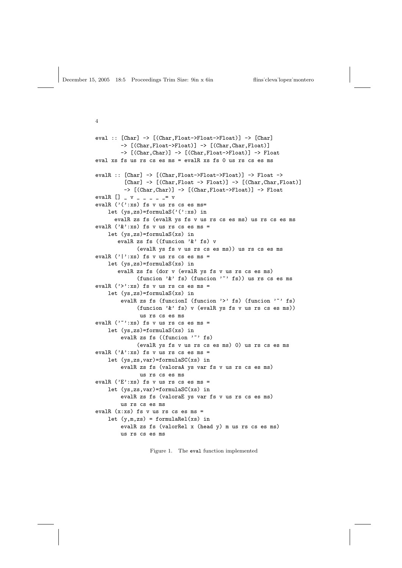```
eval :: [Char] -> [(Char,Float->Float->Float)] -> [Char]
        -> [(Char,Float->Float)] -> [(Char,Char,Float)]
        -> [(Char,Char)] -> [(Char,Float->Float)] -> Float
eval xs fs us rs cs es ms = evalR xs fs 0 us rs cs es ms
evalR :: [Char] -> [(Char,Float->Float->Float)] -> Float ->
         [Char] \rightarrow [(Char, Float \rightarrow Float)] \rightarrow [(Char,Char,Float)]-> [(Char,Char)] -> [(Char,Float->Float)] -> Float
evalR [] _ v _ _ _ _ _= v
evalR ('(':xs) fs v us rs cs es ms=
    let (ys, zs) = formulaS('(':xs) in)evalR zs fs (evalR ys fs v us rs cs es ms) us rs cs es ms
evalR ('&':xs) fs v us rs cs es ms =
    let (ys,zs)=formulaS(xs) in
       evalR zs fs ((funcion '&' fs) v
             (evalR ys fs v us rs cs es ms)) us rs cs es ms
evalR ('|':xs) fs v us rs cs es ms =
    let (ys,zs)=formulaS(xs) in
       evalR zs fs (dor v (evalR ys fs v us rs cs es ms)
             (funcion 'k' fs) (funcion '<sup>\sim</sup>' fs)) us rs cs es ms
evalR ('>':xs) fs v us rs cs es ms =
    let (ys, zs) = formulaS(xs) in
        evalR zs fs (funcionI (funcion '>' fs) (funcion '<sup>-</sup>' fs)
             (funcion '&' fs) v (evalR ys fs v us rs cs es ms))
              us rs cs es ms
evalR ('''':xs) fs v us rs cs es ms =
    let (ys,zs)=formulaS(xs) in
        evalR zs fs ((funcion '"' fs)
             (evalR ys fs v us rs cs es ms) 0) us rs cs es ms
evalR ('A':xs) fs v us rs cs es ms =
    let (ys,zs,var)=formulaSC(xs) in
        evalR zs fs (valoraA ys var fs v us rs cs es ms)
              us rs cs es ms
evalR ('E':xs) fs v us rs cs es ms =
    let (ys,zs,var)=formulaSC(xs) in
        evalR zs fs (valoraE ys var fs v us rs cs es ms)
        us rs cs es ms
evalR (x:xs) fs v us rs cs es ms =
    let (y,m,zs) = formulaRel(xs) in
        evalR zs fs (valorRel x (head y) m us rs cs es ms)
        us rs cs es ms
```
Figure 1. The eval function implemented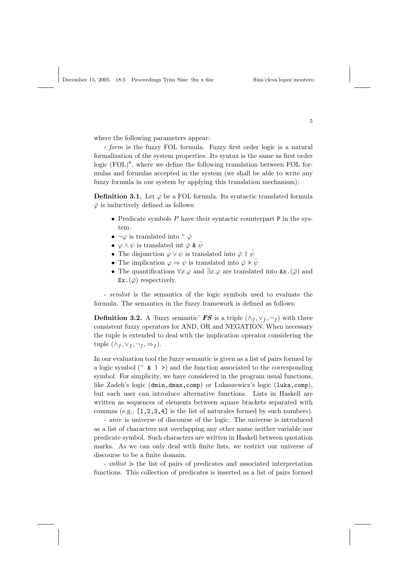where the following parameters appear:

- form is the fuzzy FOL formula. Fuzzy first order logic is a natural formalization of the system properties. Its syntax is the same as first order logic  $(FOL)^6$ , where we define the following translation between FOL formulas and formulas accepted in the system (we shall be able to write any fuzzy formula in our system by applying this translation mechanism):

**Definition 3.1.** Let  $\varphi$  be a FOL formula. Its syntactic translated formula  $\overline{\varphi}$  is inductively defined as follows:

- Predicate symbols  $P$  have their syntactic counterpart  $P$  in the system.
- $\neg \varphi$  is translated into  $\tilde{\varphi}$
- $\varphi \wedge \psi$  is translated int  $\bar{\varphi} \& \bar{\psi}$
- The disjunction  $\varphi \vee \psi$  is translated into  $\bar{\varphi} + \bar{\psi}$
- The implication  $\varphi \Rightarrow \psi$  is translated into  $\bar{\varphi} \geq \bar{\psi}$
- The quantifications  $\forall x.\varphi$  and  $\exists x.\varphi$  are translated into Ax. $(\bar{\varphi})$  and  $Ex.(\bar{\varphi})$  respectively.

- semlist is the semantics of the logic symbols used to evaluate the formula. The semantics in the fuzzy framework is defined as follows:

**Definition 3.2.** A 'fuzzy semantic' FS is a triple  $(\wedge_f, \vee_f, \neg_f)$  with three consistent fuzzy operators for AND, OR and NEGATION. When necessary the tuple is extended to deal with the implication operator considering the tuple  $(\wedge_f, \vee_f, \neg_f, \Rightarrow_f)$ .

In our evaluation tool the fuzzy semantic is given as a list of pairs formed by a logic symbol ( $\sim \mathbf{k}$  | >) and the function associated to the corresponding symbol. For simplicity, we have considered in the program usual functions, like Zadeh's logic (dmin, dmax, comp) or Lukaszewicz's logic (luka, comp), but each user can introduce alternative functions. Lists in Haskell are written as sequences of elements between square brackets separated with commas (e.g., [1,2,3,4] is the list of naturales formed by such numbers).

- univ is universe of discourse of the logic. The universe is introduced as a list of characters not overlapping any other name neither variable nor predicate symbol. Such characters are written in Haskell between quotation marks. As we can only deal with finite lists, we restrict our universe of discourse to be a finite domain.

- intlist is the list of pairs of predicates and associated interpretation functions. This collection of predicates is inserted as a list of pairs formed

5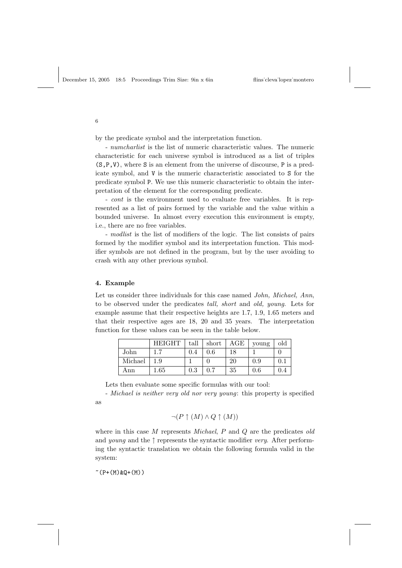by the predicate symbol and the interpretation function.

- numcharlist is the list of numeric characteristic values. The numeric characteristic for each universe symbol is introduced as a list of triples (S,P,V), where S is an element from the universe of discourse, P is a predicate symbol, and V is the numeric characteristic associated to S for the predicate symbol P. We use this numeric characteristic to obtain the interpretation of the element for the corresponding predicate.

- cont is the environment used to evaluate free variables. It is represented as a list of pairs formed by the variable and the value within a bounded universe. In almost every execution this environment is empty, i.e., there are no free variables.

- modlist is the list of modifiers of the logic. The list consists of pairs formed by the modifier symbol and its interpretation function. This modifier symbols are not defined in the program, but by the user avoiding to crash with any other previous symbol.

## 4. Example

Let us consider three individuals for this case named *John, Michael, Ann*, to be observed under the predicates tall, short and old, young. Lets for example assume that their respective heights are 1.7, 1.9, 1.65 meters and that their respective ages are 18, 20 and 35 years. The interpretation function for these values can be seen in the table below.

|         | <b>HEIGHT</b> | tall | short | AGE | voung   | old   |
|---------|---------------|------|-------|-----|---------|-------|
| John    | 17            | 0.4  | 0.6   | 18  |         |       |
| Michael | 1.9           |      |       | 20  | 0.9     | $0$ . |
| Ann     | $1.65\,$      | 0.3  |       | 35  | $0.6\,$ |       |

Lets then evaluate some specific formulas with our tool:

- Michael is neither very old nor very young: this property is specified as

$$
\neg (P \uparrow (M) \land Q \uparrow (M))
$$

where in this case  $M$  represents *Michael*,  $P$  and  $Q$  are the predicates old and *young* and the  $\uparrow$  represents the syntactic modifier *very*. After performing the syntactic translation we obtain the following formula valid in the system:

 $^{\sim}$ (P+(M)&Q+(M))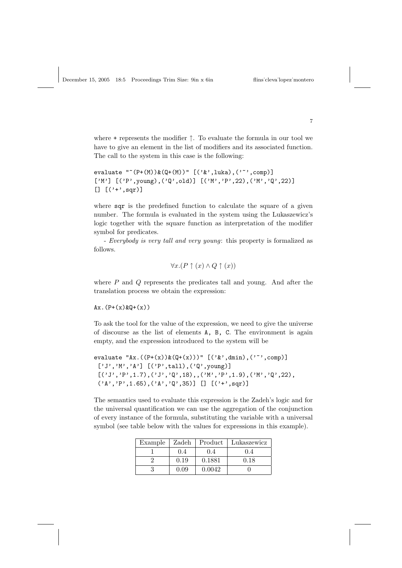$$
lins'cleva'lopez'monterc
$$

where + represents the modifier ↑. To evaluate the formula in our tool we have to give an element in the list of modifiers and its associated function. The call to the system in this case is the following:

```
evaluate ""(P+(M))&(Q+(M))" [('&',.]uka), ('''',comp)]['M'] [('P',young),('Q',old)] [('M','P',22),('M','Q',22)]
[ [ ( ' + ' , sqr)]
```
where sqr is the predefined function to calculate the square of a given number. The formula is evaluated in the system using the Lukaszewicz's logic together with the square function as interpretation of the modifier symbol for predicates.

- Everybody is very tall and very young: this property is formalized as follows.

$$
\forall x.(P \uparrow (x) \land Q \uparrow (x))
$$

where  $P$  and  $Q$  represents the predicates tall and young. And after the translation process we obtain the expression:

 $Ax. (P+(x) & Q+(x))$ 

To ask the tool for the value of the expression, we need to give the universe of discourse as the list of elements A, B, C. The environment is again empty, and the expression introduced to the system will be

```
evaluate "Ax.((P+(x))\&(Q+(x)))" [('&',dmin), ('''',comp)]['J', 'M', 'A'] [('P', tall'), ('Q', young)][\, (\, 'J',\, 'P',\, 1.7)\, , (\, 'J',\, 'Q',\, 18)\, ,\, (\, 'M',\, 'P',\, 1.9)\, , (\, 'M',\, 'Q',\, 22)\, ,('A', 'P', 1.65), ('A', 'Q', 35)] [] [('+'', sqr)]
```
The semantics used to evaluate this expression is the Zadeh's logic and for the universal quantification we can use the aggregation of the conjunction of every instance of the formula, substituting the variable with a universal symbol (see table below with the values for expressions in this example).

| Example | Zadeh | Product | Lukaszewicz |
|---------|-------|---------|-------------|
|         | 0.4   | 0.4     | 0.4         |
|         | 0.19  | 0.1881  | 0.18        |
|         | 0.09  | 0.0042  |             |

7